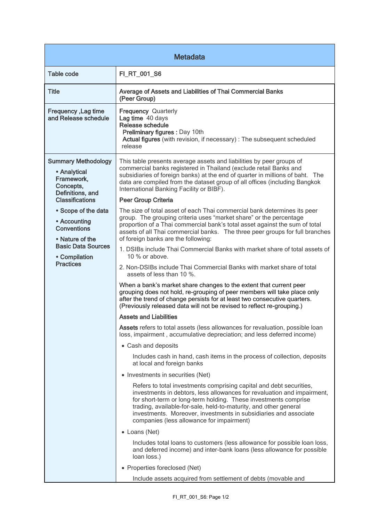| <b>Metadata</b>                                                                                                                                                                                                                                                       |                                                                                                                                                                                                                                                                                                                                                                                                        |  |
|-----------------------------------------------------------------------------------------------------------------------------------------------------------------------------------------------------------------------------------------------------------------------|--------------------------------------------------------------------------------------------------------------------------------------------------------------------------------------------------------------------------------------------------------------------------------------------------------------------------------------------------------------------------------------------------------|--|
| <b>Table code</b>                                                                                                                                                                                                                                                     | FI_RT_001_S6                                                                                                                                                                                                                                                                                                                                                                                           |  |
| <b>Title</b>                                                                                                                                                                                                                                                          | Average of Assets and Liabilities of Thai Commercial Banks<br>(Peer Group)                                                                                                                                                                                                                                                                                                                             |  |
| Frequency, Lag time<br>and Release schedule                                                                                                                                                                                                                           | <b>Frequency Quarterly</b><br>Lag time 40 days<br>Release schedule<br>Preliminary figures : Day 10th<br>Actual figures (with revision, if necessary) : The subsequent scheduled<br>release                                                                                                                                                                                                             |  |
| <b>Summary Methodology</b><br>• Analytical<br>Framework,<br>Concepts,<br>Definitions, and<br><b>Classifications</b><br>• Scope of the data<br>• Accounting<br><b>Conventions</b><br>• Nature of the<br><b>Basic Data Sources</b><br>• Compilation<br><b>Practices</b> | This table presents average assets and liabilities by peer groups of<br>commercial banks registered in Thailand (exclude retail Banks and<br>subsidiaries of foreign banks) at the end of quarter in millions of baht. The<br>data are compiled from the dataset group of all offices (including Bangkok<br>International Banking Facility or BIBF).                                                   |  |
|                                                                                                                                                                                                                                                                       | Peer Group Criteria                                                                                                                                                                                                                                                                                                                                                                                    |  |
|                                                                                                                                                                                                                                                                       | The size of total asset of each Thai commercial bank determines its peer<br>group. The grouping criteria uses "market share" or the percentage<br>proportion of a Thai commercial bank's total asset against the sum of total<br>assets of all Thai commercial banks. The three peer groups for full branches<br>of foreign banks are the following:                                                   |  |
|                                                                                                                                                                                                                                                                       | 1. DSIBs include Thai Commercial Banks with market share of total assets of<br>10 $%$ or above.                                                                                                                                                                                                                                                                                                        |  |
|                                                                                                                                                                                                                                                                       | 2. Non-DSIBs include Thai Commercial Banks with market share of total<br>assets of less than 10 %.                                                                                                                                                                                                                                                                                                     |  |
|                                                                                                                                                                                                                                                                       | When a bank's market share changes to the extent that current peer<br>grouping does not hold, re-grouping of peer members will take place only<br>after the trend of change persists for at least two consecutive quarters.<br>(Previously released data will not be revised to reflect re-grouping.)                                                                                                  |  |
|                                                                                                                                                                                                                                                                       | <b>Assets and Liabilities</b>                                                                                                                                                                                                                                                                                                                                                                          |  |
|                                                                                                                                                                                                                                                                       | Assets refers to total assets (less allowances for revaluation, possible loan<br>loss, impairment, accumulative depreciation; and less deferred income)                                                                                                                                                                                                                                                |  |
|                                                                                                                                                                                                                                                                       | • Cash and deposits                                                                                                                                                                                                                                                                                                                                                                                    |  |
|                                                                                                                                                                                                                                                                       | Includes cash in hand, cash items in the process of collection, deposits<br>at local and foreign banks                                                                                                                                                                                                                                                                                                 |  |
|                                                                                                                                                                                                                                                                       | • Investments in securities (Net)                                                                                                                                                                                                                                                                                                                                                                      |  |
|                                                                                                                                                                                                                                                                       | Refers to total investments comprising capital and debt securities,<br>investments in debtors, less allowances for revaluation and impairment,<br>for short-term or long-term holding. These investments comprise<br>trading, available-for-sale, held-to-maturity, and other general<br>investments. Moreover, investments in subsidiaries and associate<br>companies (less allowance for impairment) |  |
|                                                                                                                                                                                                                                                                       | • Loans (Net)                                                                                                                                                                                                                                                                                                                                                                                          |  |
|                                                                                                                                                                                                                                                                       | Includes total loans to customers (less allowance for possible loan loss,<br>and deferred income) and inter-bank loans (less allowance for possible<br>loan loss.)                                                                                                                                                                                                                                     |  |
|                                                                                                                                                                                                                                                                       | • Properties foreclosed (Net)                                                                                                                                                                                                                                                                                                                                                                          |  |
|                                                                                                                                                                                                                                                                       | Include assets acquired from settlement of debts (movable and                                                                                                                                                                                                                                                                                                                                          |  |